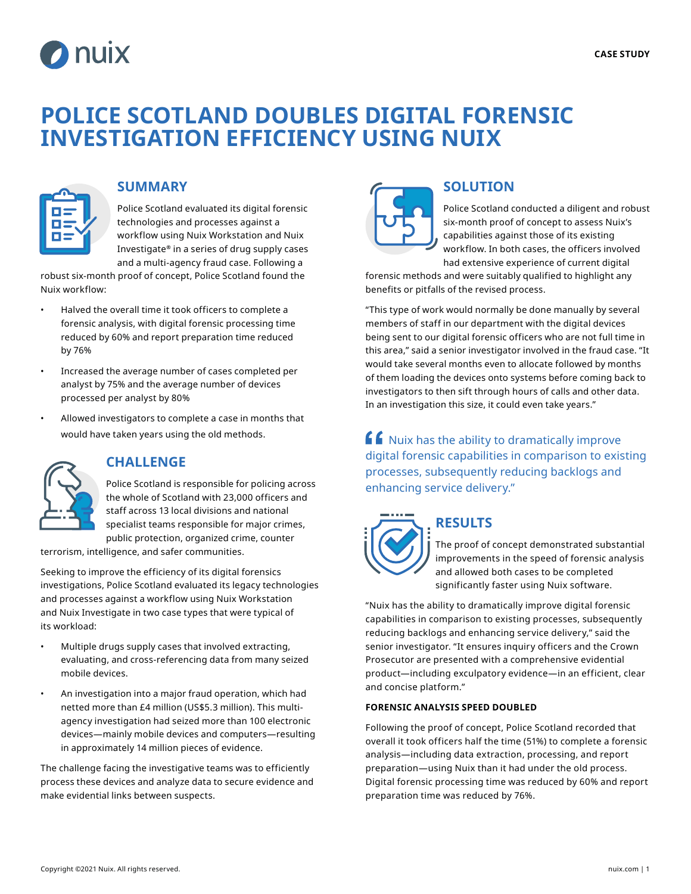

# **POLICE SCOTLAND DOUBLES DIGITAL FORENSIC INVESTIGATION EFFICIENCY USING NUIX**



#### **SUMMARY**

Police Scotland evaluated its digital forensic technologies and processes against a workflow using Nuix Workstation and Nuix Investigate**®** in a series of drug supply cases and a multi-agency fraud case. Following a

robust six-month proof of concept, Police Scotland found the Nuix workflow:

- Halved the overall time it took officers to complete a forensic analysis, with digital forensic processing time reduced by 60% and report preparation time reduced by 76%
- Increased the average number of cases completed per analyst by 75% and the average number of devices processed per analyst by 80%
- Allowed investigators to complete a case in months that would have taken years using the old methods.



### **CHALLENGE**

Police Scotland is responsible for policing across the whole of Scotland with 23,000 officers and staff across 13 local divisions and national specialist teams responsible for major crimes, public protection, organized crime, counter

terrorism, intelligence, and safer communities.

Seeking to improve the efficiency of its digital forensics investigations, Police Scotland evaluated its legacy technologies and processes against a workflow using Nuix Workstation and Nuix Investigate in two case types that were typical of its workload:

- Multiple drugs supply cases that involved extracting, evaluating, and cross-referencing data from many seized mobile devices.
- An investigation into a major fraud operation, which had netted more than £4 million (US\$5.3 million). This multiagency investigation had seized more than 100 electronic devices—mainly mobile devices and computers—resulting in approximately 14 million pieces of evidence.

The challenge facing the investigative teams was to efficiently process these devices and analyze data to secure evidence and make evidential links between suspects.



### **SOLUTION**

Police Scotland conducted a diligent and robust six-month proof of concept to assess Nuix's capabilities against those of its existing workflow. In both cases, the officers involved had extensive experience of current digital

forensic methods and were suitably qualified to highlight any benefits or pitfalls of the revised process.

"This type of work would normally be done manually by several members of staff in our department with the digital devices being sent to our digital forensic officers who are not full time in this area," said a senior investigator involved in the fraud case. "It would take several months even to allocate followed by months of them loading the devices onto systems before coming back to investigators to then sift through hours of calls and other data. In an investigation this size, it could even take years."

 $\mathbf{f}$  Nuix has the ability to dramatically improve digital forensic capabilities in comparison to existing processes, subsequently reducing backlogs and enhancing service delivery."



## **RESULTS**

The proof of concept demonstrated substantial improvements in the speed of forensic analysis and allowed both cases to be completed significantly faster using Nuix software.

"Nuix has the ability to dramatically improve digital forensic capabilities in comparison to existing processes, subsequently reducing backlogs and enhancing service delivery," said the senior investigator. "It ensures inquiry officers and the Crown Prosecutor are presented with a comprehensive evidential product—including exculpatory evidence—in an efficient, clear and concise platform."

#### **FORENSIC ANALYSIS SPEED DOUBLED**

Following the proof of concept, Police Scotland recorded that overall it took officers half the time (51%) to complete a forensic analysis—including data extraction, processing, and report preparation—using Nuix than it had under the old process. Digital forensic processing time was reduced by 60% and report preparation time was reduced by 76%.